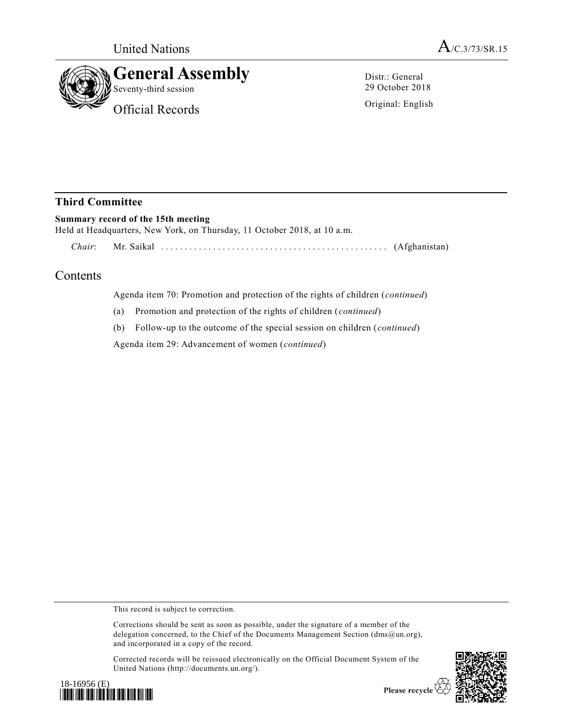

Distr.: General 29 October 2018

Original: English

## **Third Committee**

## **Summary record of the 15th meeting**

Held at Headquarters, New York, on Thursday, 11 October 2018, at 10 a.m.

*Chair*: Mr. Saikal ................................ ................ (Afghanistan)

## Contents

Agenda item 70: Promotion and protection of the rights of children (*continued*)

(a) Promotion and protection of the rights of children (*continued*)

(b) Follow-up to the outcome of the special session on children (*continued*)

Agenda item 29: Advancement of women (*continued*)

This record is subject to correction.

Corrections should be sent as soon as possible, under the signature of a member of the delegation concerned, to the Chief of the Documents Management Section (dms@un.org), and incorporated in a copy of the record.

Corrected records will be reissued electronically on the Official Document System of the United Nations (http://documents.un.org/).





Please recycle  $\overline{\mathcal{C}}$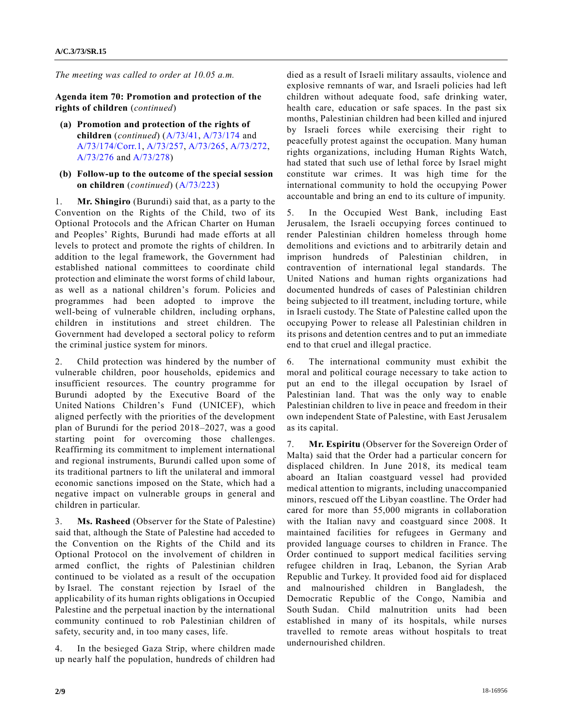*The meeting was called to order at 10.05 a.m.*

**Agenda item 70: Promotion and protection of the rights of children** (*continued*)

- **(a) Promotion and protection of the rights of children** (*continued*) [\(A/73/41,](https://undocs.org/A/73/41) [A/73/174](https://undocs.org/A/73/174) and [A/73/174/Corr.1,](https://undocs.org/A/73/174/Corr.1) [A/73/257,](https://undocs.org/A/73/257) [A/73/265,](https://undocs.org/A/73/265) [A/73/272,](https://undocs.org/A/73/272) [A/73/276](https://undocs.org/A/73/276) an[d A/73/278\)](https://undocs.org/A/73/278)
- **(b) Follow-up to the outcome of the special session on children** (*continued*) [\(A/73/223\)](https://undocs.org/A/73/223)

1. **Mr. Shingiro** (Burundi) said that, as a party to the Convention on the Rights of the Child, two of its Optional Protocols and the African Charter on Human and Peoples' Rights, Burundi had made efforts at all levels to protect and promote the rights of children. In addition to the legal framework, the Government had established national committees to coordinate child protection and eliminate the worst forms of child labour, as well as a national children's forum. Policies and programmes had been adopted to improve the well-being of vulnerable children, including orphans, children in institutions and street children. The Government had developed a sectoral policy to reform the criminal justice system for minors.

2. Child protection was hindered by the number of vulnerable children, poor households, epidemics and insufficient resources. The country programme for Burundi adopted by the Executive Board of the United Nations Children's Fund (UNICEF), which aligned perfectly with the priorities of the development plan of Burundi for the period 2018–2027, was a good starting point for overcoming those challenges. Reaffirming its commitment to implement international and regional instruments, Burundi called upon some of its traditional partners to lift the unilateral and immoral economic sanctions imposed on the State, which had a negative impact on vulnerable groups in general and children in particular.

3. **Ms. Rasheed** (Observer for the State of Palestine) said that, although the State of Palestine had acceded to the Convention on the Rights of the Child and its Optional Protocol on the involvement of children in armed conflict, the rights of Palestinian children continued to be violated as a result of the occupation by Israel. The constant rejection by Israel of the applicability of its human rights obligations in Occupied Palestine and the perpetual inaction by the international community continued to rob Palestinian children of safety, security and, in too many cases, life.

4. In the besieged Gaza Strip, where children made up nearly half the population, hundreds of children had died as a result of Israeli military assaults, violence and explosive remnants of war, and Israeli policies had left children without adequate food, safe drinking water, health care, education or safe spaces. In the past six months, Palestinian children had been killed and injured by Israeli forces while exercising their right to peacefully protest against the occupation. Many human rights organizations, including Human Rights Watch, had stated that such use of lethal force by Israel might constitute war crimes. It was high time for the international community to hold the occupying Power accountable and bring an end to its culture of impunity.

5. In the Occupied West Bank, including East Jerusalem, the Israeli occupying forces continued to render Palestinian children homeless through home demolitions and evictions and to arbitrarily detain and imprison hundreds of Palestinian children, in contravention of international legal standards. The United Nations and human rights organizations had documented hundreds of cases of Palestinian children being subjected to ill treatment, including torture, while in Israeli custody. The State of Palestine called upon the occupying Power to release all Palestinian children in its prisons and detention centres and to put an immediate end to that cruel and illegal practice.

6. The international community must exhibit the moral and political courage necessary to take action to put an end to the illegal occupation by Israel of Palestinian land. That was the only way to enable Palestinian children to live in peace and freedom in their own independent State of Palestine, with East Jerusalem as its capital.

7. **Mr. Espiritu** (Observer for the Sovereign Order of Malta) said that the Order had a particular concern for displaced children. In June 2018, its medical team aboard an Italian coastguard vessel had provided medical attention to migrants, including unaccompanied minors, rescued off the Libyan coastline. The Order had cared for more than 55,000 migrants in collaboration with the Italian navy and coastguard since 2008. It maintained facilities for refugees in Germany and provided language courses to children in France. The Order continued to support medical facilities serving refugee children in Iraq, Lebanon, the Syrian Arab Republic and Turkey. It provided food aid for displaced and malnourished children in Bangladesh, the Democratic Republic of the Congo, Namibia and South Sudan. Child malnutrition units had been established in many of its hospitals, while nurses travelled to remote areas without hospitals to treat undernourished children.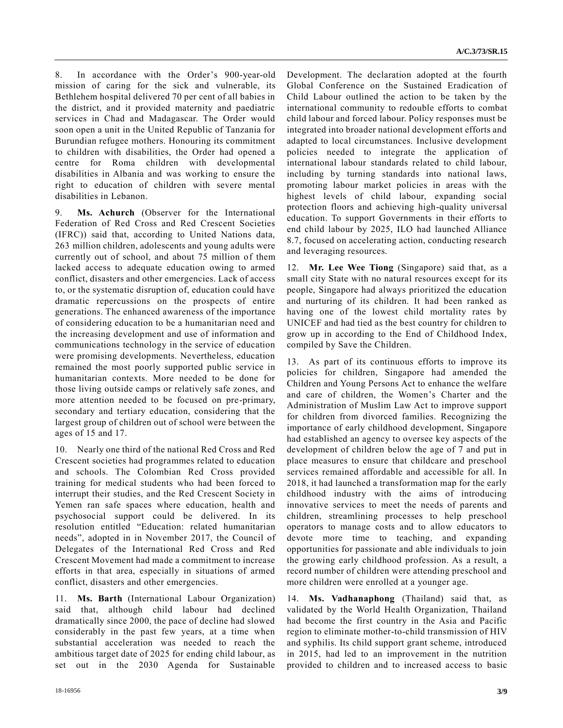8. In accordance with the Order's 900-year-old mission of caring for the sick and vulnerable, its Bethlehem hospital delivered 70 per cent of all babies in the district, and it provided maternity and paediatric services in Chad and Madagascar. The Order would soon open a unit in the United Republic of Tanzania for Burundian refugee mothers. Honouring its commitment to children with disabilities, the Order had opened a centre for Roma children with developmental disabilities in Albania and was working to ensure the right to education of children with severe mental disabilities in Lebanon.

9. **Ms. Achurch** (Observer for the International Federation of Red Cross and Red Crescent Societies (IFRC)) said that, according to United Nations data, 263 million children, adolescents and young adults were currently out of school, and about 75 million of them lacked access to adequate education owing to armed conflict, disasters and other emergencies. Lack of access to, or the systematic disruption of, education could have dramatic repercussions on the prospects of entire generations. The enhanced awareness of the importance of considering education to be a humanitarian need and the increasing development and use of information and communications technology in the service of education were promising developments. Nevertheless, education remained the most poorly supported public service in humanitarian contexts. More needed to be done for those living outside camps or relatively safe zones, and more attention needed to be focused on pre-primary, secondary and tertiary education, considering that the largest group of children out of school were between the ages of 15 and 17.

10. Nearly one third of the national Red Cross and Red Crescent societies had programmes related to education and schools. The Colombian Red Cross provided training for medical students who had been forced to interrupt their studies, and the Red Crescent Society in Yemen ran safe spaces where education, health and psychosocial support could be delivered. In its resolution entitled "Education: related humanitarian needs", adopted in in November 2017, the Council of Delegates of the International Red Cross and Red Crescent Movement had made a commitment to increase efforts in that area, especially in situations of armed conflict, disasters and other emergencies.

11. **Ms. Barth** (International Labour Organization) said that, although child labour had declined dramatically since 2000, the pace of decline had slowed considerably in the past few years, at a time when substantial acceleration was needed to reach the ambitious target date of 2025 for ending child labour, as set out in the 2030 Agenda for Sustainable Development. The declaration adopted at the fourth Global Conference on the Sustained Eradication of Child Labour outlined the action to be taken by the international community to redouble efforts to combat child labour and forced labour. Policy responses must be integrated into broader national development efforts and adapted to local circumstances. Inclusive development policies needed to integrate the application of international labour standards related to child labour, including by turning standards into national laws, promoting labour market policies in areas with the highest levels of child labour, expanding social protection floors and achieving high-quality universal education. To support Governments in their efforts to end child labour by 2025, ILO had launched Alliance 8.7, focused on accelerating action, conducting research and leveraging resources.

12. **Mr. Lee Wee Tiong** (Singapore) said that, as a small city State with no natural resources except for its people, Singapore had always prioritized the education and nurturing of its children. It had been ranked as having one of the lowest child mortality rates by UNICEF and had tied as the best country for children to grow up in according to the End of Childhood Index, compiled by Save the Children.

13. As part of its continuous efforts to improve its policies for children, Singapore had amended the Children and Young Persons Act to enhance the welfare and care of children, the Women's Charter and the Administration of Muslim Law Act to improve support for children from divorced families. Recognizing the importance of early childhood development, Singapore had established an agency to oversee key aspects of the development of children below the age of 7 and put in place measures to ensure that childcare and preschool services remained affordable and accessible for all. In 2018, it had launched a transformation map for the early childhood industry with the aims of introducing innovative services to meet the needs of parents and children, streamlining processes to help preschool operators to manage costs and to allow educators to devote more time to teaching, and expanding opportunities for passionate and able individuals to join the growing early childhood profession. As a result, a record number of children were attending preschool and more children were enrolled at a younger age.

14. **Ms. Vadhanaphong** (Thailand) said that, as validated by the World Health Organization, Thailand had become the first country in the Asia and Pacific region to eliminate mother-to-child transmission of HIV and syphilis. Its child support grant scheme, introduced in 2015, had led to an improvement in the nutrition provided to children and to increased access to basic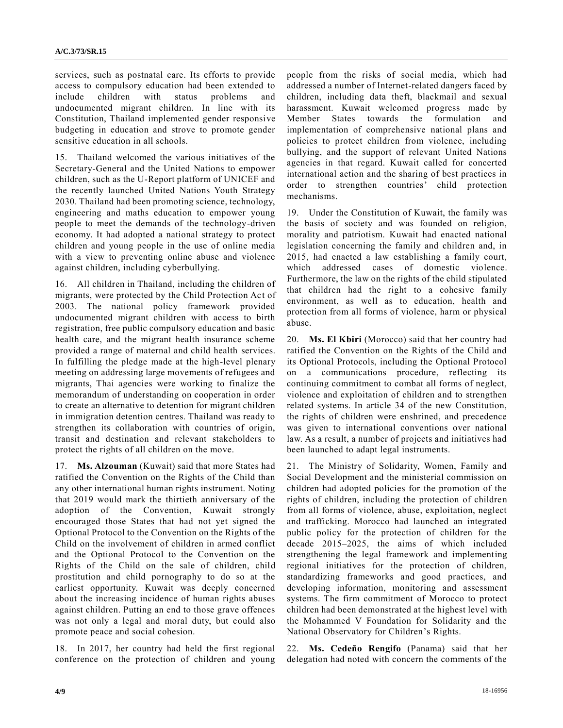services, such as postnatal care. Its efforts to provide access to compulsory education had been extended to include children with status problems and undocumented migrant children. In line with its Constitution, Thailand implemented gender responsive budgeting in education and strove to promote gender sensitive education in all schools.

15. Thailand welcomed the various initiatives of the Secretary-General and the United Nations to empower children, such as the U-Report platform of UNICEF and the recently launched United Nations Youth Strategy 2030. Thailand had been promoting science, technology, engineering and maths education to empower young people to meet the demands of the technology-driven economy. It had adopted a national strategy to protect children and young people in the use of online media with a view to preventing online abuse and violence against children, including cyberbullying.

16. All children in Thailand, including the children of migrants, were protected by the Child Protection Act of 2003. The national policy framework provided undocumented migrant children with access to birth registration, free public compulsory education and basic health care, and the migrant health insurance scheme provided a range of maternal and child health services. In fulfilling the pledge made at the high-level plenary meeting on addressing large movements of refugees and migrants, Thai agencies were working to finalize the memorandum of understanding on cooperation in order to create an alternative to detention for migrant children in immigration detention centres. Thailand was ready to strengthen its collaboration with countries of origin, transit and destination and relevant stakeholders to protect the rights of all children on the move.

17. **Ms. Alzouman** (Kuwait) said that more States had ratified the Convention on the Rights of the Child than any other international human rights instrument. Noting that 2019 would mark the thirtieth anniversary of the adoption of the Convention, Kuwait strongly encouraged those States that had not yet signed the Optional Protocol to the Convention on the Rights of the Child on the involvement of children in armed conflict and the Optional Protocol to the Convention on the Rights of the Child on the sale of children, child prostitution and child pornography to do so at the earliest opportunity. Kuwait was deeply concerned about the increasing incidence of human rights abuses against children. Putting an end to those grave offences was not only a legal and moral duty, but could also promote peace and social cohesion.

18. In 2017, her country had held the first regional conference on the protection of children and young people from the risks of social media, which had addressed a number of Internet-related dangers faced by children, including data theft, blackmail and sexual harassment. Kuwait welcomed progress made by Member States towards the formulation and implementation of comprehensive national plans and policies to protect children from violence, including bullying, and the support of relevant United Nations agencies in that regard. Kuwait called for concerted international action and the sharing of best practices in order to strengthen countries' child protection mechanisms.

19. Under the Constitution of Kuwait, the family was the basis of society and was founded on religion, morality and patriotism. Kuwait had enacted national legislation concerning the family and children and, in 2015, had enacted a law establishing a family court, which addressed cases of domestic violence. Furthermore, the law on the rights of the child stipulated that children had the right to a cohesive family environment, as well as to education, health and protection from all forms of violence, harm or physical abuse.

20. **Ms. El Kbiri** (Morocco) said that her country had ratified the Convention on the Rights of the Child and its Optional Protocols, including the Optional Protocol on a communications procedure, reflecting its continuing commitment to combat all forms of neglect, violence and exploitation of children and to strengthen related systems. In article 34 of the new Constitution, the rights of children were enshrined, and precedence was given to international conventions over national law. As a result, a number of projects and initiatives had been launched to adapt legal instruments.

21. The Ministry of Solidarity, Women, Family and Social Development and the ministerial commission on children had adopted policies for the promotion of the rights of children, including the protection of children from all forms of violence, abuse, exploitation, neglect and trafficking. Morocco had launched an integrated public policy for the protection of children for the decade 2015–2025, the aims of which included strengthening the legal framework and implementing regional initiatives for the protection of children, standardizing frameworks and good practices, and developing information, monitoring and assessment systems. The firm commitment of Morocco to protect children had been demonstrated at the highest level with the Mohammed V Foundation for Solidarity and the National Observatory for Children's Rights.

22. **Ms. Cedeño Rengifo** (Panama) said that her delegation had noted with concern the comments of the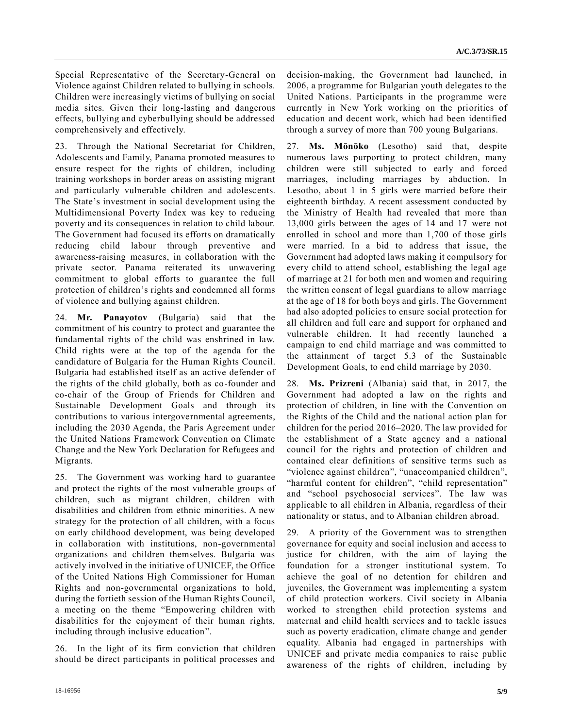Special Representative of the Secretary-General on Violence against Children related to bullying in schools. Children were increasingly victims of bullying on social media sites. Given their long-lasting and dangerous effects, bullying and cyberbullying should be addressed comprehensively and effectively.

23. Through the National Secretariat for Children, Adolescents and Family, Panama promoted measures to ensure respect for the rights of children, including training workshops in border areas on assisting migrant and particularly vulnerable children and adolescents. The State's investment in social development using the Multidimensional Poverty Index was key to reducing poverty and its consequences in relation to child labour. The Government had focused its efforts on dramatically reducing child labour through preventive and awareness-raising measures, in collaboration with the private sector. Panama reiterated its unwavering commitment to global efforts to guarantee the full protection of children's rights and condemned all forms of violence and bullying against children.

24. **Mr. Panayotov** (Bulgaria) said that the commitment of his country to protect and guarantee the fundamental rights of the child was enshrined in law. Child rights were at the top of the agenda for the candidature of Bulgaria for the Human Rights Council. Bulgaria had established itself as an active defender of the rights of the child globally, both as co-founder and co-chair of the Group of Friends for Children and Sustainable Development Goals and through its contributions to various intergovernmental agreements, including the 2030 Agenda, the Paris Agreement under the United Nations Framework Convention on Climate Change and the New York Declaration for Refugees and Migrants.

25. The Government was working hard to guarantee and protect the rights of the most vulnerable groups of children, such as migrant children, children with disabilities and children from ethnic minorities. A new strategy for the protection of all children, with a focus on early childhood development, was being developed in collaboration with institutions, non-governmental organizations and children themselves. Bulgaria was actively involved in the initiative of UNICEF, the Office of the United Nations High Commissioner for Human Rights and non-governmental organizations to hold, during the fortieth session of the Human Rights Council, a meeting on the theme "Empowering children with disabilities for the enjoyment of their human rights, including through inclusive education".

26. In the light of its firm conviction that children should be direct participants in political processes and decision-making, the Government had launched, in 2006, a programme for Bulgarian youth delegates to the United Nations. Participants in the programme were currently in New York working on the priorities of education and decent work, which had been identified through a survey of more than 700 young Bulgarians.

27. **Ms. Mōnōko** (Lesotho) said that, despite numerous laws purporting to protect children, many children were still subjected to early and forced marriages, including marriages by abduction. In Lesotho, about 1 in 5 girls were married before their eighteenth birthday. A recent assessment conducted by the Ministry of Health had revealed that more than 13,000 girls between the ages of 14 and 17 were not enrolled in school and more than 1,700 of those girls were married. In a bid to address that issue, the Government had adopted laws making it compulsory for every child to attend school, establishing the legal age of marriage at 21 for both men and women and requiring the written consent of legal guardians to allow marriage at the age of 18 for both boys and girls. The Government had also adopted policies to ensure social protection for all children and full care and support for orphaned and vulnerable children. It had recently launched a campaign to end child marriage and was committed to the attainment of target 5.3 of the Sustainable Development Goals, to end child marriage by 2030.

28. **Ms. Prizreni** (Albania) said that, in 2017, the Government had adopted a law on the rights and protection of children, in line with the Convention on the Rights of the Child and the national action plan for children for the period 2016–2020. The law provided for the establishment of a State agency and a national council for the rights and protection of children and contained clear definitions of sensitive terms such as "violence against children", "unaccompanied children", "harmful content for children", "child representation" and "school psychosocial services". The law was applicable to all children in Albania, regardless of their nationality or status, and to Albanian children abroad.

29. A priority of the Government was to strengthen governance for equity and social inclusion and access to justice for children, with the aim of laying the foundation for a stronger institutional system. To achieve the goal of no detention for children and juveniles, the Government was implementing a system of child protection workers. Civil society in Albania worked to strengthen child protection systems and maternal and child health services and to tackle issues such as poverty eradication, climate change and gender equality. Albania had engaged in partnerships with UNICEF and private media companies to raise public awareness of the rights of children, including by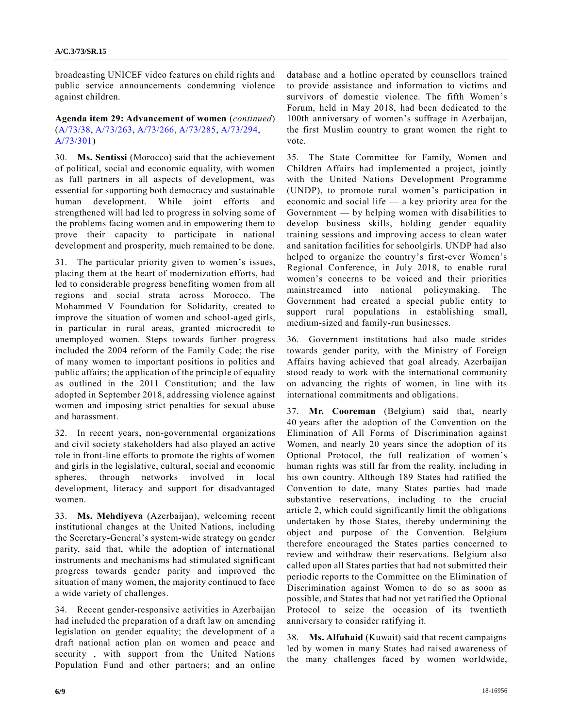broadcasting UNICEF video features on child rights and public service announcements condemning violence against children.

## **Agenda item 29: Advancement of women** (*continued*) [\(A/73/38,](https://undocs.org/A/73/38) [A/73/263,](https://undocs.org/A/73/263) [A/73/266,](https://undocs.org/A/73/266) [A/73/285,](https://undocs.org/A/73/285) [A/73/294,](https://undocs.org/A/73/294) [A/73/301\)](https://undocs.org/A/73/301)

30. **Ms. Sentissi** (Morocco) said that the achievement of political, social and economic equality, with women as full partners in all aspects of development, was essential for supporting both democracy and sustainable human development. While joint efforts and strengthened will had led to progress in solving some of the problems facing women and in empowering them to prove their capacity to participate in national development and prosperity, much remained to be done.

31. The particular priority given to women's issues, placing them at the heart of modernization efforts, had led to considerable progress benefiting women from all regions and social strata across Morocco. The Mohammed V Foundation for Solidarity, created to improve the situation of women and school-aged girls, in particular in rural areas, granted microcredit to unemployed women. Steps towards further progress included the 2004 reform of the Family Code; the rise of many women to important positions in politics and public affairs; the application of the principle of equality as outlined in the 2011 Constitution; and the law adopted in September 2018, addressing violence against women and imposing strict penalties for sexual abuse and harassment.

32. In recent years, non-governmental organizations and civil society stakeholders had also played an active role in front-line efforts to promote the rights of women and girls in the legislative, cultural, social and economic spheres, through networks involved in local development, literacy and support for disadvantaged women.

33. **Ms. Mehdiyeva** (Azerbaijan), welcoming recent institutional changes at the United Nations, including the Secretary-General's system-wide strategy on gender parity, said that, while the adoption of international instruments and mechanisms had stimulated significant progress towards gender parity and improved the situation of many women, the majority continued to face a wide variety of challenges.

34. Recent gender-responsive activities in Azerbaijan had included the preparation of a draft law on amending legislation on gender equality; the development of a draft national action plan on women and peace and security , with support from the United Nations Population Fund and other partners; and an online database and a hotline operated by counsellors trained to provide assistance and information to victims and survivors of domestic violence. The fifth Women's Forum, held in May 2018, had been dedicated to the 100th anniversary of women's suffrage in Azerbaijan, the first Muslim country to grant women the right to vote.

35. The State Committee for Family, Women and Children Affairs had implemented a project, jointly with the United Nations Development Programme (UNDP), to promote rural women's participation in economic and social life — a key priority area for the Government — by helping women with disabilities to develop business skills, holding gender equality training sessions and improving access to clean water and sanitation facilities for schoolgirls. UNDP had also helped to organize the country's first-ever Women's Regional Conference, in July 2018, to enable rural women's concerns to be voiced and their priorities mainstreamed into national policymaking. The Government had created a special public entity to support rural populations in establishing small, medium-sized and family-run businesses.

36. Government institutions had also made strides towards gender parity, with the Ministry of Foreign Affairs having achieved that goal already. Azerbaijan stood ready to work with the international community on advancing the rights of women, in line with its international commitments and obligations.

37. **Mr. Cooreman** (Belgium) said that, nearly 40 years after the adoption of the Convention on the Elimination of All Forms of Discrimination against Women, and nearly 20 years since the adoption of its Optional Protocol, the full realization of women's human rights was still far from the reality, including in his own country. Although 189 States had ratified the Convention to date, many States parties had made substantive reservations, including to the crucial article 2, which could significantly limit the obligations undertaken by those States, thereby undermining the object and purpose of the Convention. Belgium therefore encouraged the States parties concerned to review and withdraw their reservations. Belgium also called upon all States parties that had not submitted their periodic reports to the Committee on the Elimination of Discrimination against Women to do so as soon as possible, and States that had not yet ratified the Optional Protocol to seize the occasion of its twentieth anniversary to consider ratifying it.

38. **Ms. Alfuhaid** (Kuwait) said that recent campaigns led by women in many States had raised awareness of the many challenges faced by women worldwide,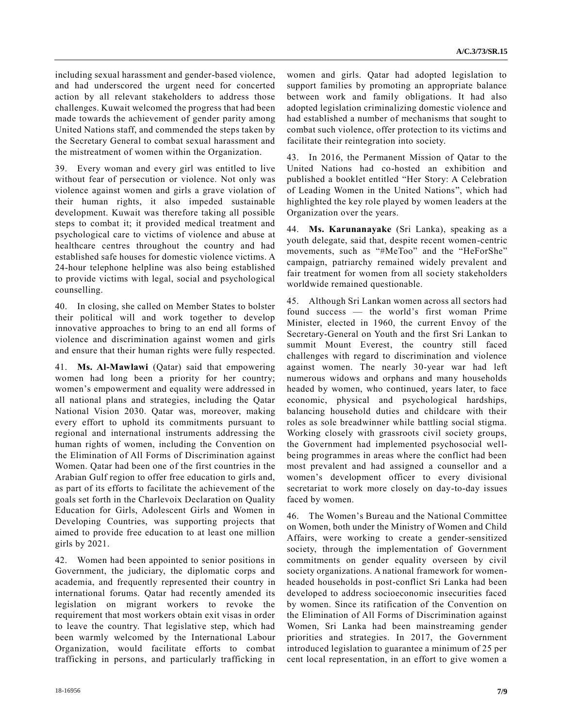including sexual harassment and gender-based violence, and had underscored the urgent need for concerted action by all relevant stakeholders to address those challenges. Kuwait welcomed the progress that had been made towards the achievement of gender parity among United Nations staff, and commended the steps taken by the Secretary General to combat sexual harassment and the mistreatment of women within the Organization.

39. Every woman and every girl was entitled to live without fear of persecution or violence. Not only was violence against women and girls a grave violation of their human rights, it also impeded sustainable development. Kuwait was therefore taking all possible steps to combat it; it provided medical treatment and psychological care to victims of violence and abuse at healthcare centres throughout the country and had established safe houses for domestic violence victims. A 24-hour telephone helpline was also being established to provide victims with legal, social and psychological counselling.

40. In closing, she called on Member States to bolster their political will and work together to develop innovative approaches to bring to an end all forms of violence and discrimination against women and girls and ensure that their human rights were fully respected.

41. **Ms. Al-Mawlawi** (Qatar) said that empowering women had long been a priority for her country; women's empowerment and equality were addressed in all national plans and strategies, including the Qatar National Vision 2030. Qatar was, moreover, making every effort to uphold its commitments pursuant to regional and international instruments addressing the human rights of women, including the Convention on the Elimination of All Forms of Discrimination against Women. Qatar had been one of the first countries in the Arabian Gulf region to offer free education to girls and, as part of its efforts to facilitate the achievement of the goals set forth in the Charlevoix Declaration on Quality Education for Girls, Adolescent Girls and Women in Developing Countries, was supporting projects that aimed to provide free education to at least one million girls by 2021.

42. Women had been appointed to senior positions in Government, the judiciary, the diplomatic corps and academia, and frequently represented their country in international forums. Qatar had recently amended its legislation on migrant workers to revoke the requirement that most workers obtain exit visas in order to leave the country. That legislative step, which had been warmly welcomed by the International Labour Organization, would facilitate efforts to combat trafficking in persons, and particularly trafficking in women and girls. Qatar had adopted legislation to support families by promoting an appropriate balance between work and family obligations. It had also adopted legislation criminalizing domestic violence and had established a number of mechanisms that sought to combat such violence, offer protection to its victims and facilitate their reintegration into society.

43. In 2016, the Permanent Mission of Qatar to the United Nations had co-hosted an exhibition and published a booklet entitled "Her Story: A Celebration of Leading Women in the United Nations", which had highlighted the key role played by women leaders at the Organization over the years.

44. **Ms. Karunanayake** (Sri Lanka), speaking as a youth delegate, said that, despite recent women-centric movements, such as "#MeToo" and the "HeForShe" campaign, patriarchy remained widely prevalent and fair treatment for women from all society stakeholders worldwide remained questionable.

45. Although Sri Lankan women across all sectors had found success — the world's first woman Prime Minister, elected in 1960, the current Envoy of the Secretary-General on Youth and the first Sri Lankan to summit Mount Everest, the country still faced challenges with regard to discrimination and violence against women. The nearly 30-year war had left numerous widows and orphans and many households headed by women, who continued, years later, to face economic, physical and psychological hardships, balancing household duties and childcare with their roles as sole breadwinner while battling social stigma. Working closely with grassroots civil society groups, the Government had implemented psychosocial wellbeing programmes in areas where the conflict had been most prevalent and had assigned a counsellor and a women's development officer to every divisional secretariat to work more closely on day-to-day issues faced by women.

46. The Women's Bureau and the National Committee on Women, both under the Ministry of Women and Child Affairs, were working to create a gender-sensitized society, through the implementation of Government commitments on gender equality overseen by civil society organizations. A national framework for womenheaded households in post-conflict Sri Lanka had been developed to address socioeconomic insecurities faced by women. Since its ratification of the Convention on the Elimination of All Forms of Discrimination against Women, Sri Lanka had been mainstreaming gender priorities and strategies. In 2017, the Government introduced legislation to guarantee a minimum of 25 per cent local representation, in an effort to give women a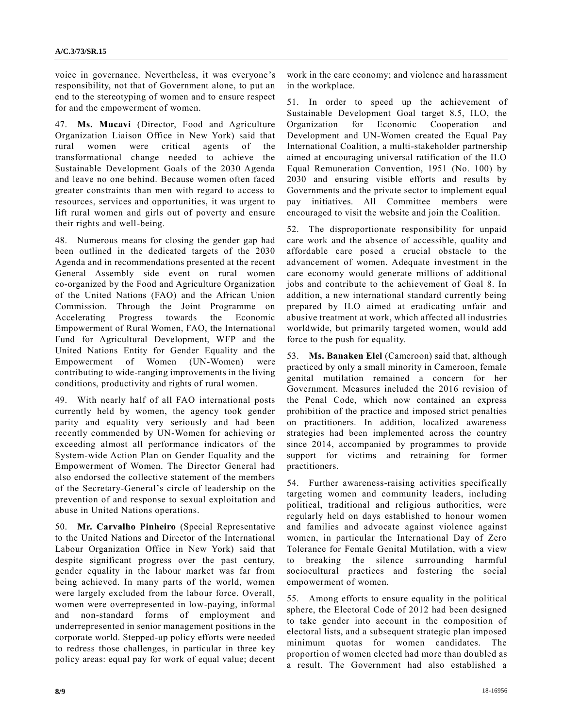voice in governance. Nevertheless, it was everyone's responsibility, not that of Government alone, to put an end to the stereotyping of women and to ensure respect for and the empowerment of women.

47. **Ms. Mucavi** (Director, Food and Agriculture Organization Liaison Office in New York) said that rural women were critical agents of the transformational change needed to achieve the Sustainable Development Goals of the 2030 Agenda and leave no one behind. Because women often faced greater constraints than men with regard to access to resources, services and opportunities, it was urgent to lift rural women and girls out of poverty and ensure their rights and well-being.

48. Numerous means for closing the gender gap had been outlined in the dedicated targets of the 2030 Agenda and in recommendations presented at the recent General Assembly side event on rural women co-organized by the Food and Agriculture Organization of the United Nations (FAO) and the African Union Commission. Through the Joint Programme on Accelerating Progress towards the Economic Empowerment of Rural Women, FAO, the International Fund for Agricultural Development, WFP and the United Nations Entity for Gender Equality and the Empowerment of Women (UN-Women) were contributing to wide-ranging improvements in the living conditions, productivity and rights of rural women.

49. With nearly half of all FAO international posts currently held by women, the agency took gender parity and equality very seriously and had been recently commended by UN-Women for achieving or exceeding almost all performance indicators of the System-wide Action Plan on Gender Equality and the Empowerment of Women. The Director General had also endorsed the collective statement of the members of the Secretary-General's circle of leadership on the prevention of and response to sexual exploitation and abuse in United Nations operations.

50. **Mr. Carvalho Pinheiro** (Special Representative to the United Nations and Director of the International Labour Organization Office in New York) said that despite significant progress over the past century, gender equality in the labour market was far from being achieved. In many parts of the world, women were largely excluded from the labour force. Overall, women were overrepresented in low-paying, informal and non-standard forms of employment and underrepresented in senior management positions in the corporate world. Stepped-up policy efforts were needed to redress those challenges, in particular in three key policy areas: equal pay for work of equal value; decent work in the care economy; and violence and harassment in the workplace.

51. In order to speed up the achievement of Sustainable Development Goal target 8.5, ILO, the Organization for Economic Cooperation and Development and UN-Women created the Equal Pay International Coalition, a multi-stakeholder partnership aimed at encouraging universal ratification of the ILO Equal Remuneration Convention, 1951 (No. 100) by 2030 and ensuring visible efforts and results by Governments and the private sector to implement equal pay initiatives. All Committee members were encouraged to visit the website and join the Coalition.

52. The disproportionate responsibility for unpaid care work and the absence of accessible, quality and affordable care posed a crucial obstacle to the advancement of women. Adequate investment in the care economy would generate millions of additional jobs and contribute to the achievement of Goal 8. In addition, a new international standard currently being prepared by ILO aimed at eradicating unfair and abusive treatment at work, which affected all industries worldwide, but primarily targeted women, would add force to the push for equality.

53. **Ms. Banaken Elel** (Cameroon) said that, although practiced by only a small minority in Cameroon, female genital mutilation remained a concern for her Government. Measures included the 2016 revision of the Penal Code, which now contained an express prohibition of the practice and imposed strict penalties on practitioners. In addition, localized awareness strategies had been implemented across the country since 2014, accompanied by programmes to provide support for victims and retraining for former practitioners.

54. Further awareness-raising activities specifically targeting women and community leaders, including political, traditional and religious authorities, were regularly held on days established to honour women and families and advocate against violence against women, in particular the International Day of Zero Tolerance for Female Genital Mutilation, with a view to breaking the silence surrounding harmful sociocultural practices and fostering the social empowerment of women.

55. Among efforts to ensure equality in the political sphere, the Electoral Code of 2012 had been designed to take gender into account in the composition of electoral lists, and a subsequent strategic plan imposed minimum quotas for women candidates. The proportion of women elected had more than doubled as a result. The Government had also established a